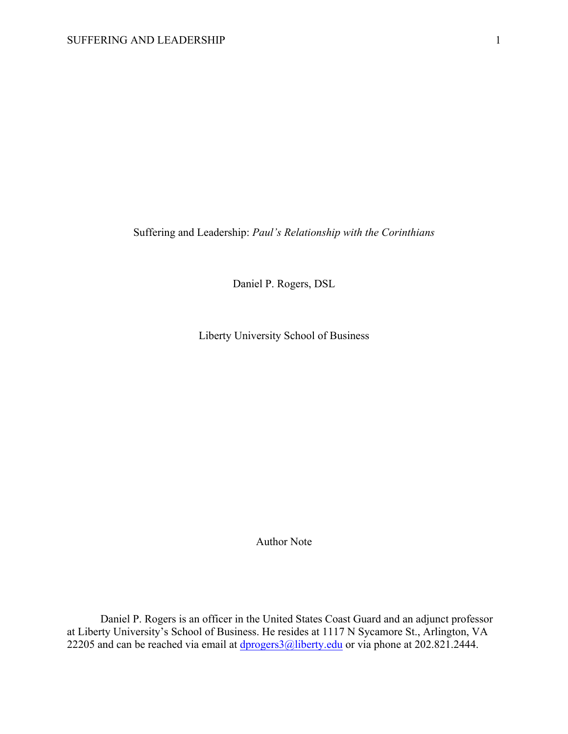Suffering and Leadership: *Paul's Relationship with the Corinthians*

Daniel P. Rogers, DSL

Liberty University School of Business

Author Note

Daniel P. Rogers is an officer in the United States Coast Guard and an adjunct professor at Liberty University's School of Business. He resides at 1117 N Sycamore St., Arlington, VA 22205 and can be reached via email at  $\frac{dprogers3@libery.edu}{dprogers3@libery.edu}$  or via phone at 202.821.2444.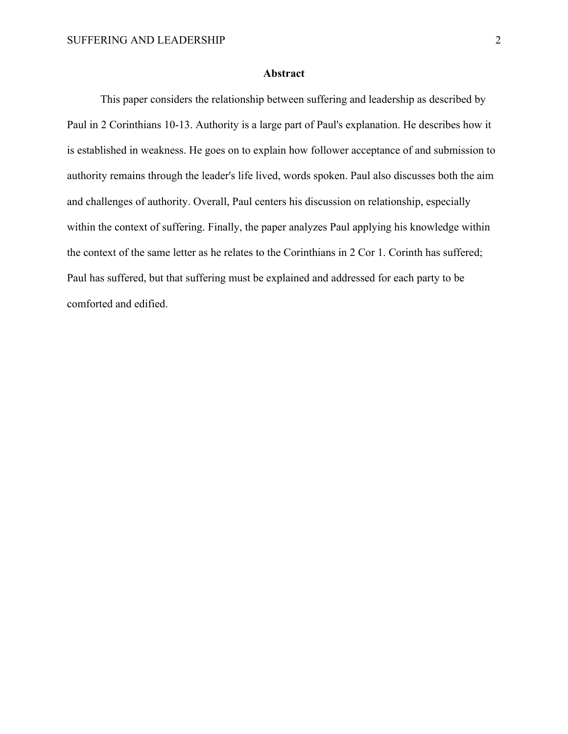# **Abstract**

This paper considers the relationship between suffering and leadership as described by Paul in 2 Corinthians 10-13. Authority is a large part of Paul's explanation. He describes how it is established in weakness. He goes on to explain how follower acceptance of and submission to authority remains through the leader's life lived, words spoken. Paul also discusses both the aim and challenges of authority. Overall, Paul centers his discussion on relationship, especially within the context of suffering. Finally, the paper analyzes Paul applying his knowledge within the context of the same letter as he relates to the Corinthians in 2 Cor 1. Corinth has suffered; Paul has suffered, but that suffering must be explained and addressed for each party to be comforted and edified.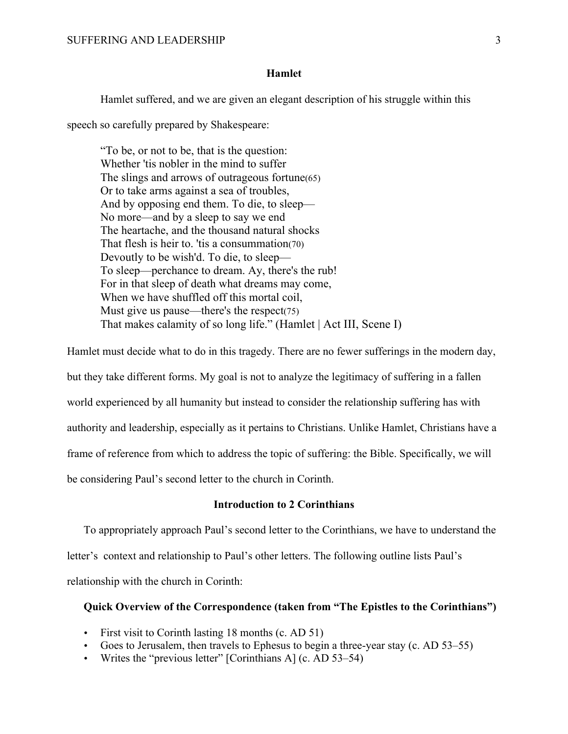### **Hamlet**

Hamlet suffered, and we are given an elegant description of his struggle within this

speech so carefully prepared by Shakespeare:

"To be, or not to be, that is the question: Whether 'tis nobler in the mind to suffer The slings and arrows of outrageous fortune(65) Or to take arms against a sea of troubles, And by opposing end them. To die, to sleep— No more—and by a sleep to say we end The heartache, and the thousand natural shocks That flesh is heir to. 'tis a consummation(70) Devoutly to be wish'd. To die, to sleep— To sleep—perchance to dream. Ay, there's the rub! For in that sleep of death what dreams may come, When we have shuffled off this mortal coil, Must give us pause—there's the respect(75) That makes calamity of so long life." (Hamlet | Act III, Scene I)

Hamlet must decide what to do in this tragedy. There are no fewer sufferings in the modern day, but they take different forms. My goal is not to analyze the legitimacy of suffering in a fallen world experienced by all humanity but instead to consider the relationship suffering has with authority and leadership, especially as it pertains to Christians. Unlike Hamlet, Christians have a frame of reference from which to address the topic of suffering: the Bible. Specifically, we will be considering Paul's second letter to the church in Corinth.

# **Introduction to 2 Corinthians**

To appropriately approach Paul's second letter to the Corinthians, we have to understand the letter's context and relationship to Paul's other letters. The following outline lists Paul's relationship with the church in Corinth:

### **Quick Overview of the Correspondence (taken from "The Epistles to the Corinthians")**

- First visit to Corinth lasting 18 months (c. AD 51)
- Goes to Jerusalem, then travels to Ephesus to begin a three-year stay (c. AD 53–55)
- Writes the "previous letter"  $[Corinthians A]$  (c. AD 53–54)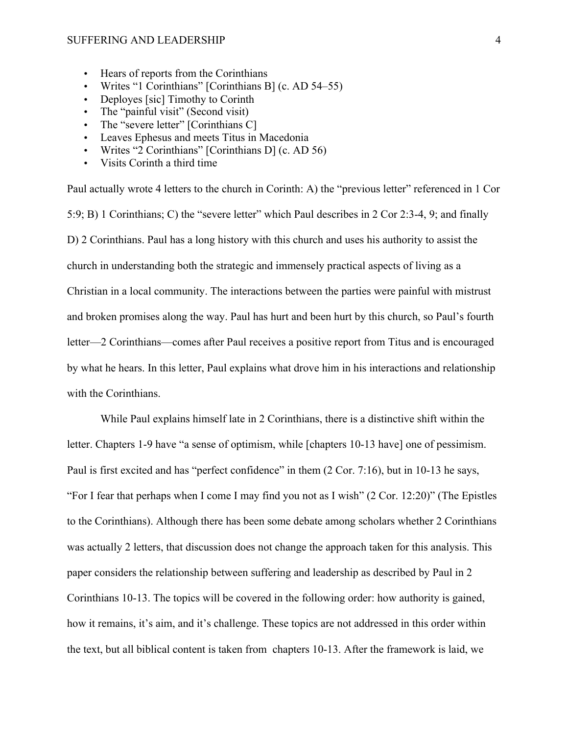#### SUFFERING AND LEADERSHIP 4

- Hears of reports from the Corinthians
- Writes "1 Corinthians" [Corinthians B] (c. AD 54–55)
- Deployes [sic] Timothy to Corinth
- The "painful visit" (Second visit)
- The "severe letter" [Corinthians C]
- Leaves Ephesus and meets Titus in Macedonia
- Writes "2 Corinthians" [Corinthians D] (c. AD 56)
- Visits Corinth a third time

Paul actually wrote 4 letters to the church in Corinth: A) the "previous letter" referenced in 1 Cor 5:9; B) 1 Corinthians; C) the "severe letter" which Paul describes in 2 Cor 2:3-4, 9; and finally D) 2 Corinthians. Paul has a long history with this church and uses his authority to assist the church in understanding both the strategic and immensely practical aspects of living as a Christian in a local community. The interactions between the parties were painful with mistrust and broken promises along the way. Paul has hurt and been hurt by this church, so Paul's fourth letter—2 Corinthians—comes after Paul receives a positive report from Titus and is encouraged by what he hears. In this letter, Paul explains what drove him in his interactions and relationship with the Corinthians.

While Paul explains himself late in 2 Corinthians, there is a distinctive shift within the letter. Chapters 1-9 have "a sense of optimism, while [chapters 10-13 have] one of pessimism. Paul is first excited and has "perfect confidence" in them (2 Cor. 7:16), but in 10-13 he says, "For I fear that perhaps when I come I may find you not as I wish" (2 Cor. 12:20)" (The Epistles to the Corinthians). Although there has been some debate among scholars whether 2 Corinthians was actually 2 letters, that discussion does not change the approach taken for this analysis. This paper considers the relationship between suffering and leadership as described by Paul in 2 Corinthians 10-13. The topics will be covered in the following order: how authority is gained, how it remains, it's aim, and it's challenge. These topics are not addressed in this order within the text, but all biblical content is taken from chapters 10-13. After the framework is laid, we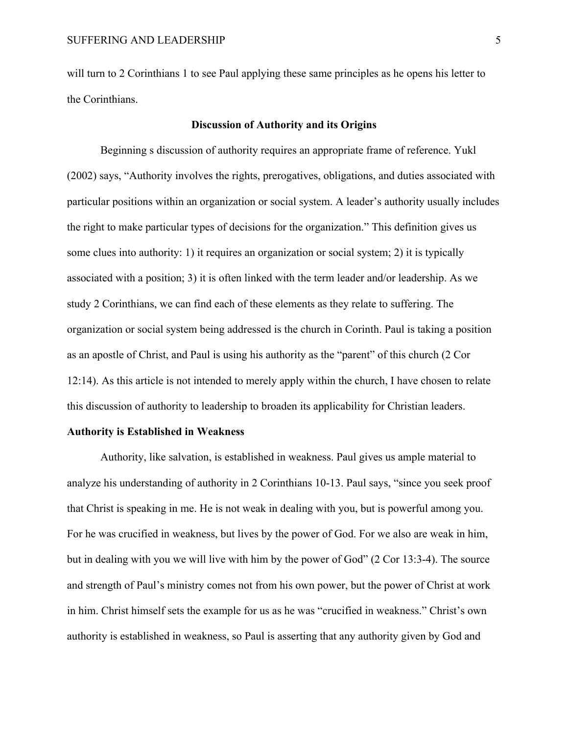will turn to 2 Corinthians 1 to see Paul applying these same principles as he opens his letter to the Corinthians.

### **Discussion of Authority and its Origins**

Beginning s discussion of authority requires an appropriate frame of reference. Yukl (2002) says, "Authority involves the rights, prerogatives, obligations, and duties associated with particular positions within an organization or social system. A leader's authority usually includes the right to make particular types of decisions for the organization." This definition gives us some clues into authority: 1) it requires an organization or social system; 2) it is typically associated with a position; 3) it is often linked with the term leader and/or leadership. As we study 2 Corinthians, we can find each of these elements as they relate to suffering. The organization or social system being addressed is the church in Corinth. Paul is taking a position as an apostle of Christ, and Paul is using his authority as the "parent" of this church (2 Cor 12:14). As this article is not intended to merely apply within the church, I have chosen to relate this discussion of authority to leadership to broaden its applicability for Christian leaders.

### **Authority is Established in Weakness**

Authority, like salvation, is established in weakness. Paul gives us ample material to analyze his understanding of authority in 2 Corinthians 10-13. Paul says, "since you seek proof that Christ is speaking in me. He is not weak in dealing with you, but is powerful among you. For he was crucified in weakness, but lives by the power of God. For we also are weak in him, but in dealing with you we will live with him by the power of God" (2 Cor 13:3-4). The source and strength of Paul's ministry comes not from his own power, but the power of Christ at work in him. Christ himself sets the example for us as he was "crucified in weakness." Christ's own authority is established in weakness, so Paul is asserting that any authority given by God and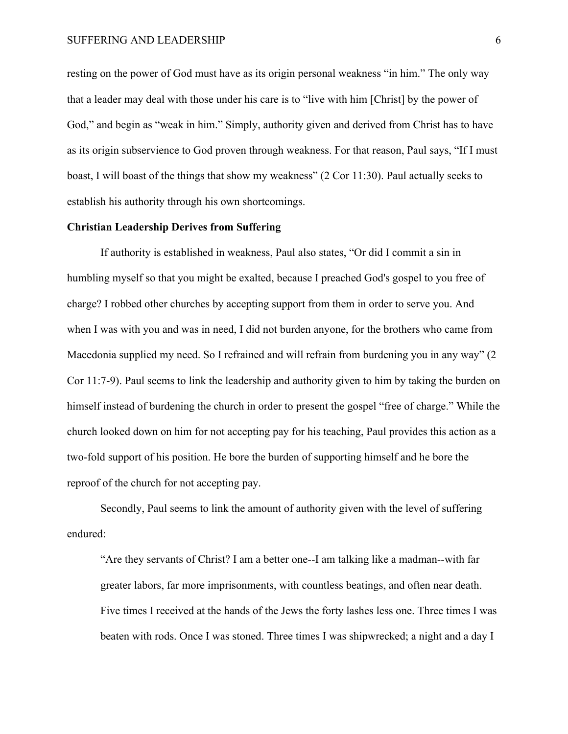resting on the power of God must have as its origin personal weakness "in him." The only way that a leader may deal with those under his care is to "live with him [Christ] by the power of God," and begin as "weak in him." Simply, authority given and derived from Christ has to have as its origin subservience to God proven through weakness. For that reason, Paul says, "If I must boast, I will boast of the things that show my weakness" (2 Cor 11:30). Paul actually seeks to establish his authority through his own shortcomings.

# **Christian Leadership Derives from Suffering**

If authority is established in weakness, Paul also states, "Or did I commit a sin in humbling myself so that you might be exalted, because I preached God's gospel to you free of charge? I robbed other churches by accepting support from them in order to serve you. And when I was with you and was in need, I did not burden anyone, for the brothers who came from Macedonia supplied my need. So I refrained and will refrain from burdening you in any way" (2) Cor 11:7-9). Paul seems to link the leadership and authority given to him by taking the burden on himself instead of burdening the church in order to present the gospel "free of charge." While the church looked down on him for not accepting pay for his teaching, Paul provides this action as a two-fold support of his position. He bore the burden of supporting himself and he bore the reproof of the church for not accepting pay.

Secondly, Paul seems to link the amount of authority given with the level of suffering endured:

"Are they servants of Christ? I am a better one--I am talking like a madman--with far greater labors, far more imprisonments, with countless beatings, and often near death. Five times I received at the hands of the Jews the forty lashes less one. Three times I was beaten with rods. Once I was stoned. Three times I was shipwrecked; a night and a day I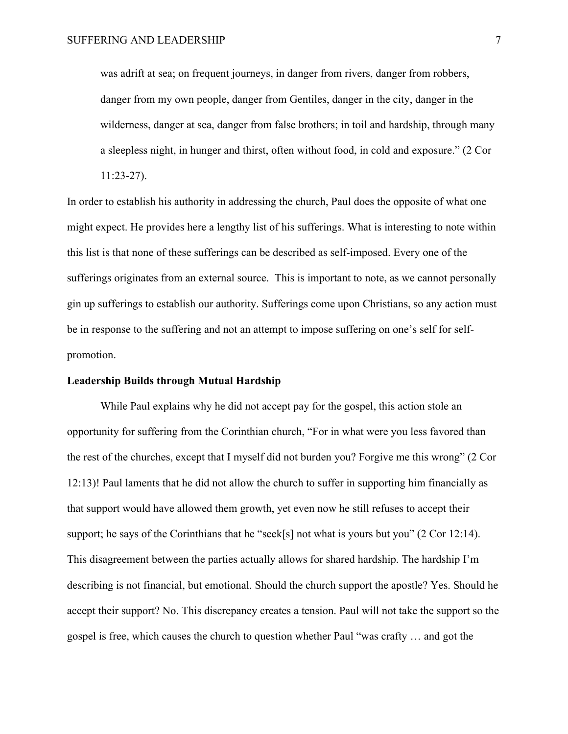was adrift at sea; on frequent journeys, in danger from rivers, danger from robbers, danger from my own people, danger from Gentiles, danger in the city, danger in the wilderness, danger at sea, danger from false brothers; in toil and hardship, through many a sleepless night, in hunger and thirst, often without food, in cold and exposure." (2 Cor

11:23-27).

In order to establish his authority in addressing the church, Paul does the opposite of what one might expect. He provides here a lengthy list of his sufferings. What is interesting to note within this list is that none of these sufferings can be described as self-imposed. Every one of the sufferings originates from an external source. This is important to note, as we cannot personally gin up sufferings to establish our authority. Sufferings come upon Christians, so any action must be in response to the suffering and not an attempt to impose suffering on one's self for selfpromotion.

#### **Leadership Builds through Mutual Hardship**

While Paul explains why he did not accept pay for the gospel, this action stole an opportunity for suffering from the Corinthian church, "For in what were you less favored than the rest of the churches, except that I myself did not burden you? Forgive me this wrong" (2 Cor 12:13)! Paul laments that he did not allow the church to suffer in supporting him financially as that support would have allowed them growth, yet even now he still refuses to accept their support; he says of the Corinthians that he "seek[s] not what is yours but you" (2 Cor 12:14). This disagreement between the parties actually allows for shared hardship. The hardship I'm describing is not financial, but emotional. Should the church support the apostle? Yes. Should he accept their support? No. This discrepancy creates a tension. Paul will not take the support so the gospel is free, which causes the church to question whether Paul "was crafty … and got the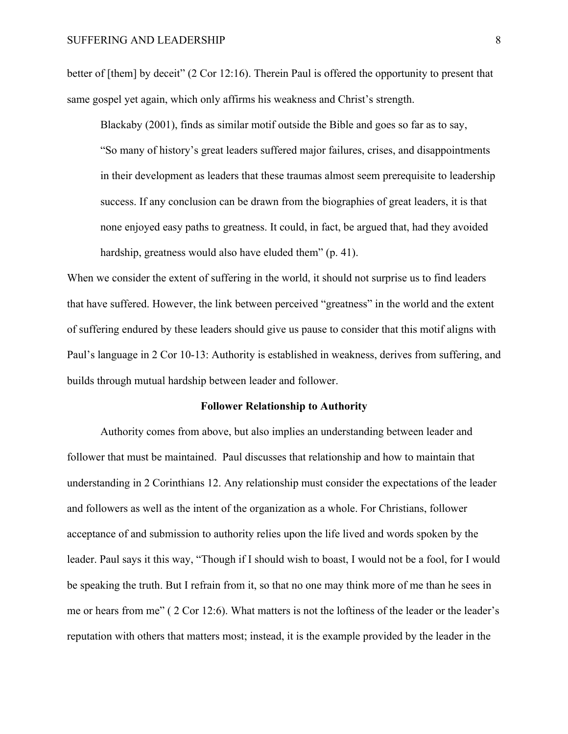better of [them] by deceit" (2 Cor 12:16). Therein Paul is offered the opportunity to present that same gospel yet again, which only affirms his weakness and Christ's strength.

Blackaby (2001), finds as similar motif outside the Bible and goes so far as to say, "So many of history's great leaders suffered major failures, crises, and disappointments in their development as leaders that these traumas almost seem prerequisite to leadership success. If any conclusion can be drawn from the biographies of great leaders, it is that none enjoyed easy paths to greatness. It could, in fact, be argued that, had they avoided hardship, greatness would also have eluded them" (p. 41).

When we consider the extent of suffering in the world, it should not surprise us to find leaders that have suffered. However, the link between perceived "greatness" in the world and the extent of suffering endured by these leaders should give us pause to consider that this motif aligns with Paul's language in 2 Cor 10-13: Authority is established in weakness, derives from suffering, and builds through mutual hardship between leader and follower.

#### **Follower Relationship to Authority**

Authority comes from above, but also implies an understanding between leader and follower that must be maintained. Paul discusses that relationship and how to maintain that understanding in 2 Corinthians 12. Any relationship must consider the expectations of the leader and followers as well as the intent of the organization as a whole. For Christians, follower acceptance of and submission to authority relies upon the life lived and words spoken by the leader. Paul says it this way, "Though if I should wish to boast, I would not be a fool, for I would be speaking the truth. But I refrain from it, so that no one may think more of me than he sees in me or hears from me" ( 2 Cor 12:6). What matters is not the loftiness of the leader or the leader's reputation with others that matters most; instead, it is the example provided by the leader in the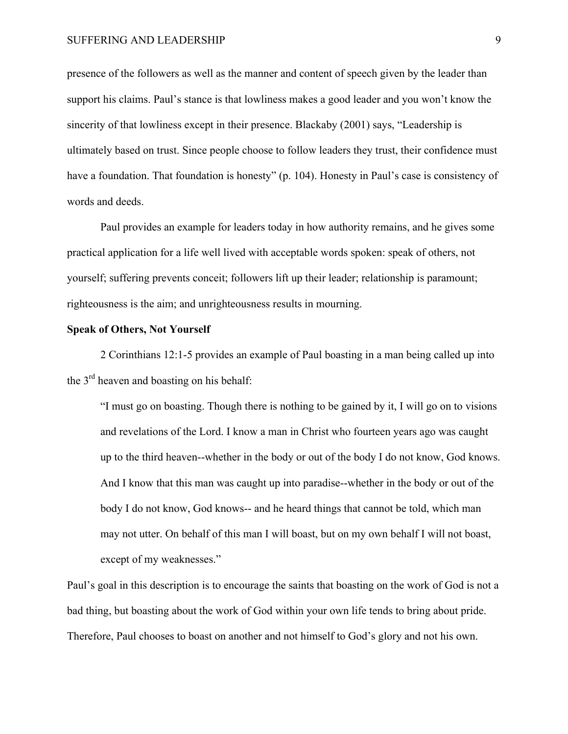#### SUFFERING AND LEADERSHIP 9

presence of the followers as well as the manner and content of speech given by the leader than support his claims. Paul's stance is that lowliness makes a good leader and you won't know the sincerity of that lowliness except in their presence. Blackaby (2001) says, "Leadership is ultimately based on trust. Since people choose to follow leaders they trust, their confidence must have a foundation. That foundation is honesty" (p. 104). Honesty in Paul's case is consistency of words and deeds.

Paul provides an example for leaders today in how authority remains, and he gives some practical application for a life well lived with acceptable words spoken: speak of others, not yourself; suffering prevents conceit; followers lift up their leader; relationship is paramount; righteousness is the aim; and unrighteousness results in mourning.

#### **Speak of Others, Not Yourself**

2 Corinthians 12:1-5 provides an example of Paul boasting in a man being called up into the 3rd heaven and boasting on his behalf:

"I must go on boasting. Though there is nothing to be gained by it, I will go on to visions and revelations of the Lord. I know a man in Christ who fourteen years ago was caught up to the third heaven--whether in the body or out of the body I do not know, God knows. And I know that this man was caught up into paradise--whether in the body or out of the body I do not know, God knows-- and he heard things that cannot be told, which man may not utter. On behalf of this man I will boast, but on my own behalf I will not boast, except of my weaknesses."

Paul's goal in this description is to encourage the saints that boasting on the work of God is not a bad thing, but boasting about the work of God within your own life tends to bring about pride. Therefore, Paul chooses to boast on another and not himself to God's glory and not his own.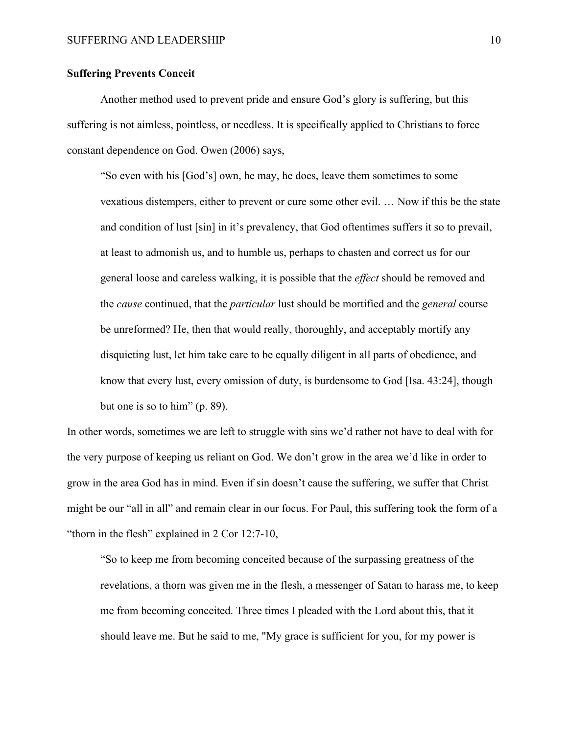# **Suffering Prevents Conceit**

Another method used to prevent pride and ensure God's glory is suffering, but this suffering is not aimless, pointless, or needless. It is specifically applied to Christians to force constant dependence on God. Owen (2006) says,

"So even with his [God's] own, he may, he does, leave them sometimes to some vexatious distempers, either to prevent or cure some other evil. … Now if this be the state and condition of lust [sin] in it's prevalency, that God oftentimes suffers it so to prevail, at least to admonish us, and to humble us, perhaps to chasten and correct us for our general loose and careless walking, it is possible that the *effect* should be removed and the *cause* continued, that the *particular* lust should be mortified and the *general* course be unreformed? He, then that would really, thoroughly, and acceptably mortify any disquieting lust, let him take care to be equally diligent in all parts of obedience, and know that every lust, every omission of duty, is burdensome to God [Isa. 43:24], though but one is so to him" (p. 89).

In other words, sometimes we are left to struggle with sins we'd rather not have to deal with for the very purpose of keeping us reliant on God. We don't grow in the area we'd like in order to grow in the area God has in mind. Even if sin doesn't cause the suffering, we suffer that Christ might be our "all in all" and remain clear in our focus. For Paul, this suffering took the form of a "thorn in the flesh" explained in 2 Cor 12:7-10,

"So to keep me from becoming conceited because of the surpassing greatness of the revelations, a thorn was given me in the flesh, a messenger of Satan to harass me, to keep me from becoming conceited. Three times I pleaded with the Lord about this, that it should leave me. But he said to me, "My grace is sufficient for you, for my power is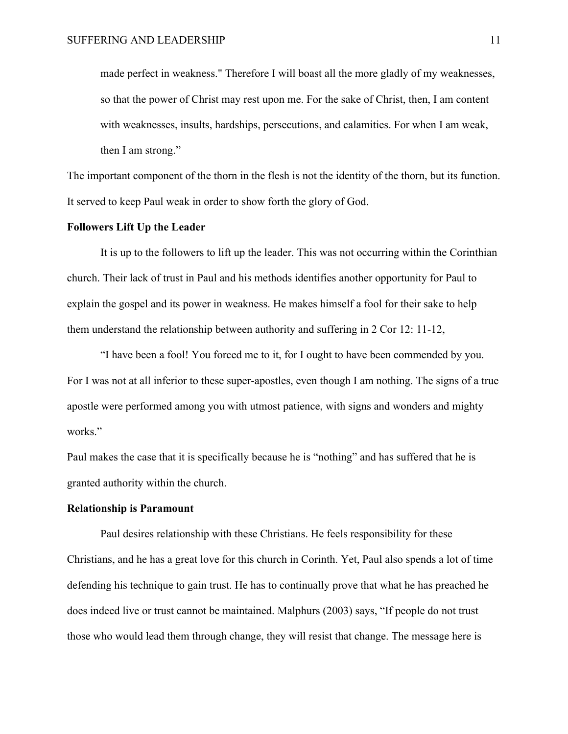made perfect in weakness." Therefore I will boast all the more gladly of my weaknesses, so that the power of Christ may rest upon me. For the sake of Christ, then, I am content with weaknesses, insults, hardships, persecutions, and calamities. For when I am weak, then I am strong."

The important component of the thorn in the flesh is not the identity of the thorn, but its function. It served to keep Paul weak in order to show forth the glory of God.

# **Followers Lift Up the Leader**

It is up to the followers to lift up the leader. This was not occurring within the Corinthian church. Their lack of trust in Paul and his methods identifies another opportunity for Paul to explain the gospel and its power in weakness. He makes himself a fool for their sake to help them understand the relationship between authority and suffering in 2 Cor 12: 11-12,

"I have been a fool! You forced me to it, for I ought to have been commended by you. For I was not at all inferior to these super-apostles, even though I am nothing. The signs of a true apostle were performed among you with utmost patience, with signs and wonders and mighty works."

Paul makes the case that it is specifically because he is "nothing" and has suffered that he is granted authority within the church.

### **Relationship is Paramount**

Paul desires relationship with these Christians. He feels responsibility for these Christians, and he has a great love for this church in Corinth. Yet, Paul also spends a lot of time defending his technique to gain trust. He has to continually prove that what he has preached he does indeed live or trust cannot be maintained. Malphurs (2003) says, "If people do not trust those who would lead them through change, they will resist that change. The message here is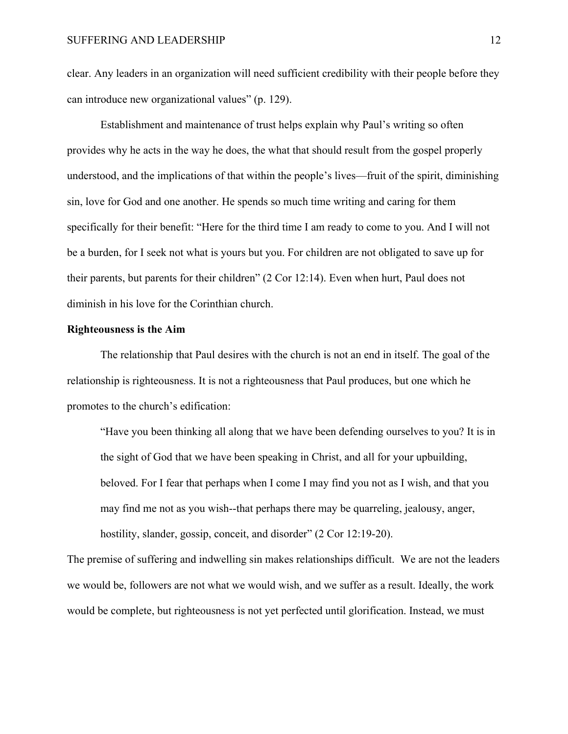clear. Any leaders in an organization will need sufficient credibility with their people before they can introduce new organizational values" (p. 129).

Establishment and maintenance of trust helps explain why Paul's writing so often provides why he acts in the way he does, the what that should result from the gospel properly understood, and the implications of that within the people's lives—fruit of the spirit, diminishing sin, love for God and one another. He spends so much time writing and caring for them specifically for their benefit: "Here for the third time I am ready to come to you. And I will not be a burden, for I seek not what is yours but you. For children are not obligated to save up for their parents, but parents for their children" (2 Cor 12:14). Even when hurt, Paul does not diminish in his love for the Corinthian church.

### **Righteousness is the Aim**

The relationship that Paul desires with the church is not an end in itself. The goal of the relationship is righteousness. It is not a righteousness that Paul produces, but one which he promotes to the church's edification:

"Have you been thinking all along that we have been defending ourselves to you? It is in the sight of God that we have been speaking in Christ, and all for your upbuilding, beloved. For I fear that perhaps when I come I may find you not as I wish, and that you may find me not as you wish--that perhaps there may be quarreling, jealousy, anger, hostility, slander, gossip, conceit, and disorder" (2 Cor 12:19-20).

The premise of suffering and indwelling sin makes relationships difficult. We are not the leaders we would be, followers are not what we would wish, and we suffer as a result. Ideally, the work would be complete, but righteousness is not yet perfected until glorification. Instead, we must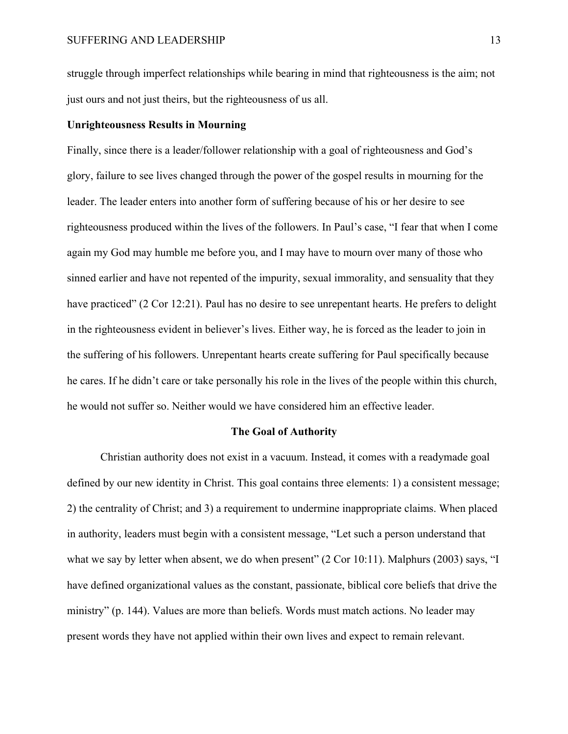struggle through imperfect relationships while bearing in mind that righteousness is the aim; not just ours and not just theirs, but the righteousness of us all.

### **Unrighteousness Results in Mourning**

Finally, since there is a leader/follower relationship with a goal of righteousness and God's glory, failure to see lives changed through the power of the gospel results in mourning for the leader. The leader enters into another form of suffering because of his or her desire to see righteousness produced within the lives of the followers. In Paul's case, "I fear that when I come again my God may humble me before you, and I may have to mourn over many of those who sinned earlier and have not repented of the impurity, sexual immorality, and sensuality that they have practiced" (2 Cor 12:21). Paul has no desire to see unrepentant hearts. He prefers to delight in the righteousness evident in believer's lives. Either way, he is forced as the leader to join in the suffering of his followers. Unrepentant hearts create suffering for Paul specifically because he cares. If he didn't care or take personally his role in the lives of the people within this church, he would not suffer so. Neither would we have considered him an effective leader.

#### **The Goal of Authority**

Christian authority does not exist in a vacuum. Instead, it comes with a readymade goal defined by our new identity in Christ. This goal contains three elements: 1) a consistent message; 2) the centrality of Christ; and 3) a requirement to undermine inappropriate claims. When placed in authority, leaders must begin with a consistent message, "Let such a person understand that what we say by letter when absent, we do when present" (2 Cor 10:11). Malphurs (2003) says, "I have defined organizational values as the constant, passionate, biblical core beliefs that drive the ministry" (p. 144). Values are more than beliefs. Words must match actions. No leader may present words they have not applied within their own lives and expect to remain relevant.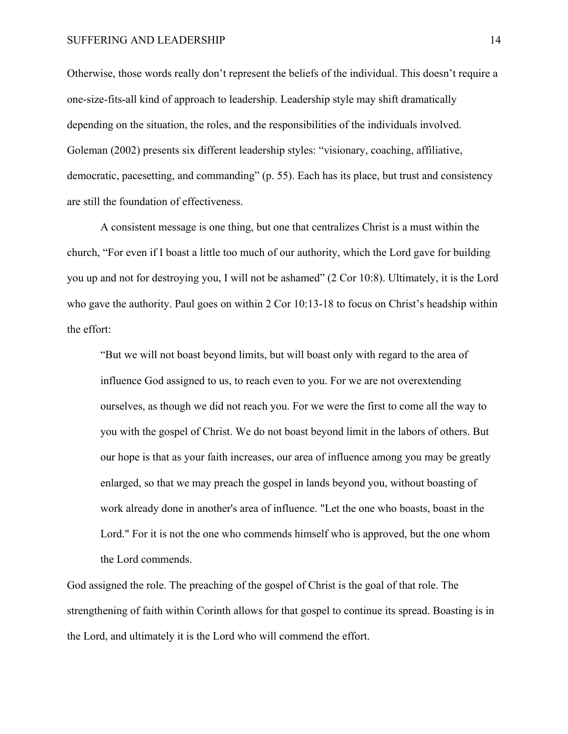#### SUFFERING AND LEADERSHIP 14

Otherwise, those words really don't represent the beliefs of the individual. This doesn't require a one-size-fits-all kind of approach to leadership. Leadership style may shift dramatically depending on the situation, the roles, and the responsibilities of the individuals involved. Goleman (2002) presents six different leadership styles: "visionary, coaching, affiliative, democratic, pacesetting, and commanding" (p. 55). Each has its place, but trust and consistency are still the foundation of effectiveness.

A consistent message is one thing, but one that centralizes Christ is a must within the church, "For even if I boast a little too much of our authority, which the Lord gave for building you up and not for destroying you, I will not be ashamed" (2 Cor 10:8). Ultimately, it is the Lord who gave the authority. Paul goes on within 2 Cor 10:13-18 to focus on Christ's headship within the effort:

"But we will not boast beyond limits, but will boast only with regard to the area of influence God assigned to us, to reach even to you. For we are not overextending ourselves, as though we did not reach you. For we were the first to come all the way to you with the gospel of Christ. We do not boast beyond limit in the labors of others. But our hope is that as your faith increases, our area of influence among you may be greatly enlarged, so that we may preach the gospel in lands beyond you, without boasting of work already done in another's area of influence. "Let the one who boasts, boast in the Lord." For it is not the one who commends himself who is approved, but the one whom the Lord commends.

God assigned the role. The preaching of the gospel of Christ is the goal of that role. The strengthening of faith within Corinth allows for that gospel to continue its spread. Boasting is in the Lord, and ultimately it is the Lord who will commend the effort.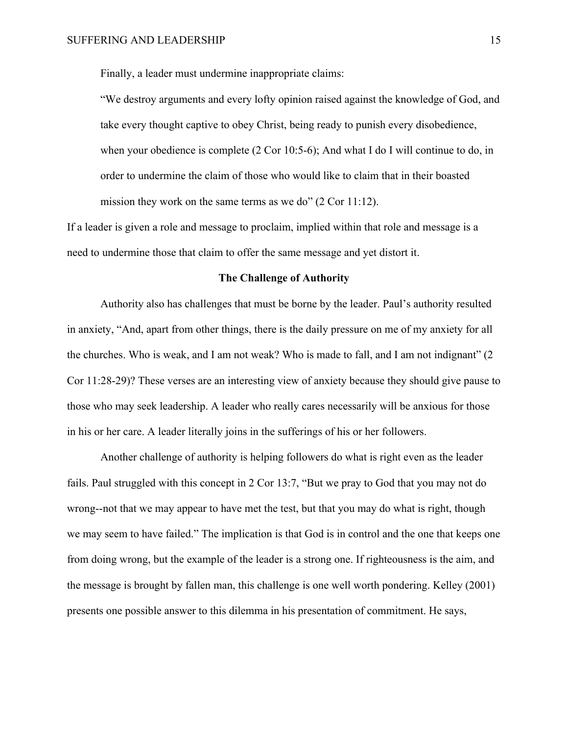Finally, a leader must undermine inappropriate claims:

"We destroy arguments and every lofty opinion raised against the knowledge of God, and take every thought captive to obey Christ, being ready to punish every disobedience, when your obedience is complete (2 Cor 10:5-6); And what I do I will continue to do, in order to undermine the claim of those who would like to claim that in their boasted mission they work on the same terms as we do" (2 Cor 11:12).

If a leader is given a role and message to proclaim, implied within that role and message is a need to undermine those that claim to offer the same message and yet distort it.

#### **The Challenge of Authority**

Authority also has challenges that must be borne by the leader. Paul's authority resulted in anxiety, "And, apart from other things, there is the daily pressure on me of my anxiety for all the churches. Who is weak, and I am not weak? Who is made to fall, and I am not indignant" (2 Cor 11:28-29)? These verses are an interesting view of anxiety because they should give pause to those who may seek leadership. A leader who really cares necessarily will be anxious for those in his or her care. A leader literally joins in the sufferings of his or her followers.

Another challenge of authority is helping followers do what is right even as the leader fails. Paul struggled with this concept in 2 Cor 13:7, "But we pray to God that you may not do wrong--not that we may appear to have met the test, but that you may do what is right, though we may seem to have failed." The implication is that God is in control and the one that keeps one from doing wrong, but the example of the leader is a strong one. If righteousness is the aim, and the message is brought by fallen man, this challenge is one well worth pondering. Kelley (2001) presents one possible answer to this dilemma in his presentation of commitment. He says,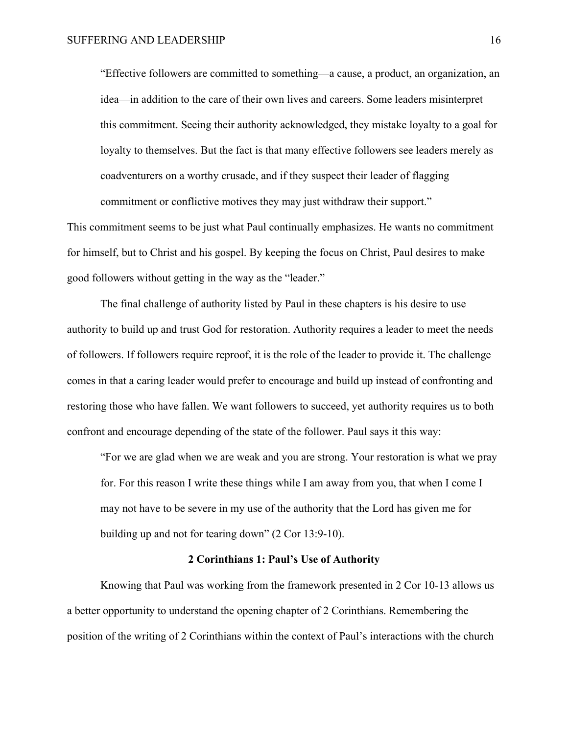"Effective followers are committed to something—a cause, a product, an organization, an idea—in addition to the care of their own lives and careers. Some leaders misinterpret this commitment. Seeing their authority acknowledged, they mistake loyalty to a goal for loyalty to themselves. But the fact is that many effective followers see leaders merely as coadventurers on a worthy crusade, and if they suspect their leader of flagging commitment or conflictive motives they may just withdraw their support."

This commitment seems to be just what Paul continually emphasizes. He wants no commitment for himself, but to Christ and his gospel. By keeping the focus on Christ, Paul desires to make good followers without getting in the way as the "leader."

The final challenge of authority listed by Paul in these chapters is his desire to use authority to build up and trust God for restoration. Authority requires a leader to meet the needs of followers. If followers require reproof, it is the role of the leader to provide it. The challenge comes in that a caring leader would prefer to encourage and build up instead of confronting and restoring those who have fallen. We want followers to succeed, yet authority requires us to both confront and encourage depending of the state of the follower. Paul says it this way:

"For we are glad when we are weak and you are strong. Your restoration is what we pray for. For this reason I write these things while I am away from you, that when I come I may not have to be severe in my use of the authority that the Lord has given me for building up and not for tearing down" (2 Cor 13:9-10).

### **2 Corinthians 1: Paul's Use of Authority**

Knowing that Paul was working from the framework presented in 2 Cor 10-13 allows us a better opportunity to understand the opening chapter of 2 Corinthians. Remembering the position of the writing of 2 Corinthians within the context of Paul's interactions with the church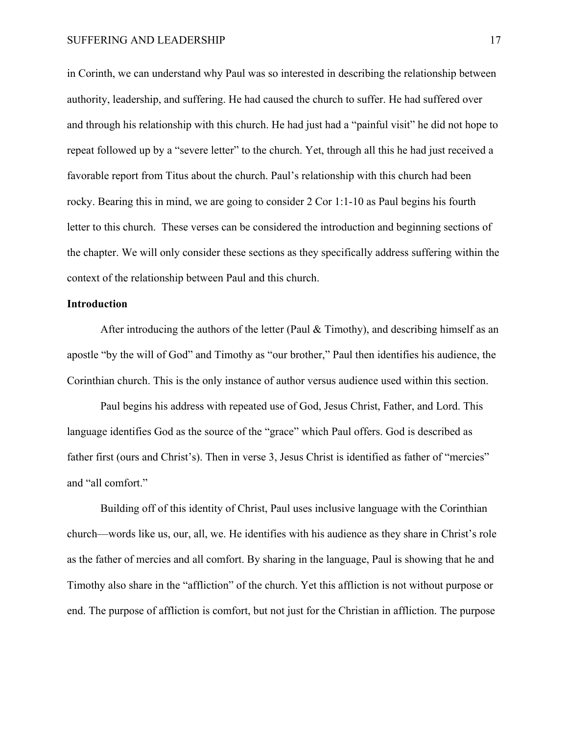#### SUFFERING AND LEADERSHIP 17

in Corinth, we can understand why Paul was so interested in describing the relationship between authority, leadership, and suffering. He had caused the church to suffer. He had suffered over and through his relationship with this church. He had just had a "painful visit" he did not hope to repeat followed up by a "severe letter" to the church. Yet, through all this he had just received a favorable report from Titus about the church. Paul's relationship with this church had been rocky. Bearing this in mind, we are going to consider 2 Cor 1:1-10 as Paul begins his fourth letter to this church. These verses can be considered the introduction and beginning sections of the chapter. We will only consider these sections as they specifically address suffering within the context of the relationship between Paul and this church.

### **Introduction**

After introducing the authors of the letter (Paul  $&$  Timothy), and describing himself as an apostle "by the will of God" and Timothy as "our brother," Paul then identifies his audience, the Corinthian church. This is the only instance of author versus audience used within this section.

Paul begins his address with repeated use of God, Jesus Christ, Father, and Lord. This language identifies God as the source of the "grace" which Paul offers. God is described as father first (ours and Christ's). Then in verse 3, Jesus Christ is identified as father of "mercies" and "all comfort."

Building off of this identity of Christ, Paul uses inclusive language with the Corinthian church—words like us, our, all, we. He identifies with his audience as they share in Christ's role as the father of mercies and all comfort. By sharing in the language, Paul is showing that he and Timothy also share in the "affliction" of the church. Yet this affliction is not without purpose or end. The purpose of affliction is comfort, but not just for the Christian in affliction. The purpose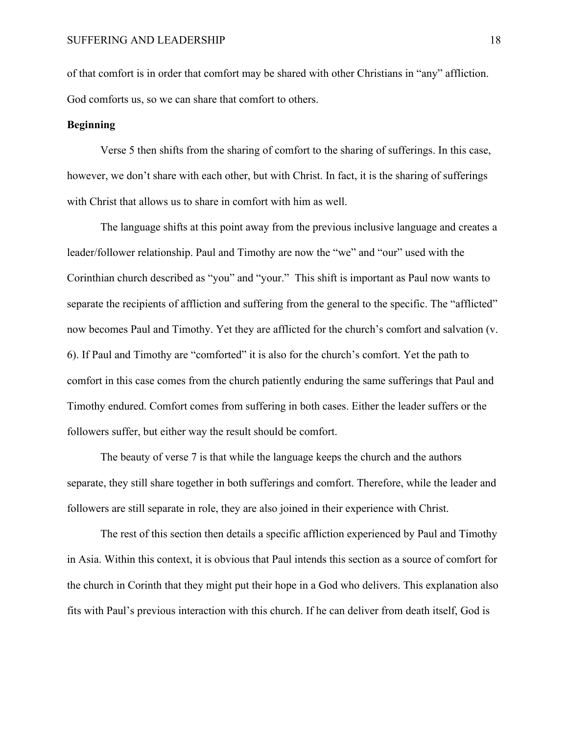of that comfort is in order that comfort may be shared with other Christians in "any" affliction. God comforts us, so we can share that comfort to others.

# **Beginning**

Verse 5 then shifts from the sharing of comfort to the sharing of sufferings. In this case, however, we don't share with each other, but with Christ. In fact, it is the sharing of sufferings with Christ that allows us to share in comfort with him as well.

The language shifts at this point away from the previous inclusive language and creates a leader/follower relationship. Paul and Timothy are now the "we" and "our" used with the Corinthian church described as "you" and "your." This shift is important as Paul now wants to separate the recipients of affliction and suffering from the general to the specific. The "afflicted" now becomes Paul and Timothy. Yet they are afflicted for the church's comfort and salvation (v. 6). If Paul and Timothy are "comforted" it is also for the church's comfort. Yet the path to comfort in this case comes from the church patiently enduring the same sufferings that Paul and Timothy endured. Comfort comes from suffering in both cases. Either the leader suffers or the followers suffer, but either way the result should be comfort.

The beauty of verse 7 is that while the language keeps the church and the authors separate, they still share together in both sufferings and comfort. Therefore, while the leader and followers are still separate in role, they are also joined in their experience with Christ.

The rest of this section then details a specific affliction experienced by Paul and Timothy in Asia. Within this context, it is obvious that Paul intends this section as a source of comfort for the church in Corinth that they might put their hope in a God who delivers. This explanation also fits with Paul's previous interaction with this church. If he can deliver from death itself, God is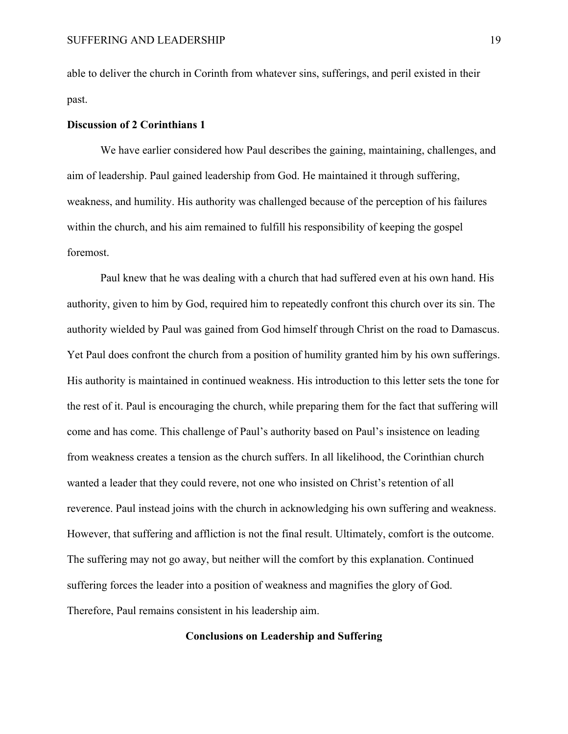able to deliver the church in Corinth from whatever sins, sufferings, and peril existed in their past.

# **Discussion of 2 Corinthians 1**

We have earlier considered how Paul describes the gaining, maintaining, challenges, and aim of leadership. Paul gained leadership from God. He maintained it through suffering, weakness, and humility. His authority was challenged because of the perception of his failures within the church, and his aim remained to fulfill his responsibility of keeping the gospel foremost.

Paul knew that he was dealing with a church that had suffered even at his own hand. His authority, given to him by God, required him to repeatedly confront this church over its sin. The authority wielded by Paul was gained from God himself through Christ on the road to Damascus. Yet Paul does confront the church from a position of humility granted him by his own sufferings. His authority is maintained in continued weakness. His introduction to this letter sets the tone for the rest of it. Paul is encouraging the church, while preparing them for the fact that suffering will come and has come. This challenge of Paul's authority based on Paul's insistence on leading from weakness creates a tension as the church suffers. In all likelihood, the Corinthian church wanted a leader that they could revere, not one who insisted on Christ's retention of all reverence. Paul instead joins with the church in acknowledging his own suffering and weakness. However, that suffering and affliction is not the final result. Ultimately, comfort is the outcome. The suffering may not go away, but neither will the comfort by this explanation. Continued suffering forces the leader into a position of weakness and magnifies the glory of God. Therefore, Paul remains consistent in his leadership aim.

### **Conclusions on Leadership and Suffering**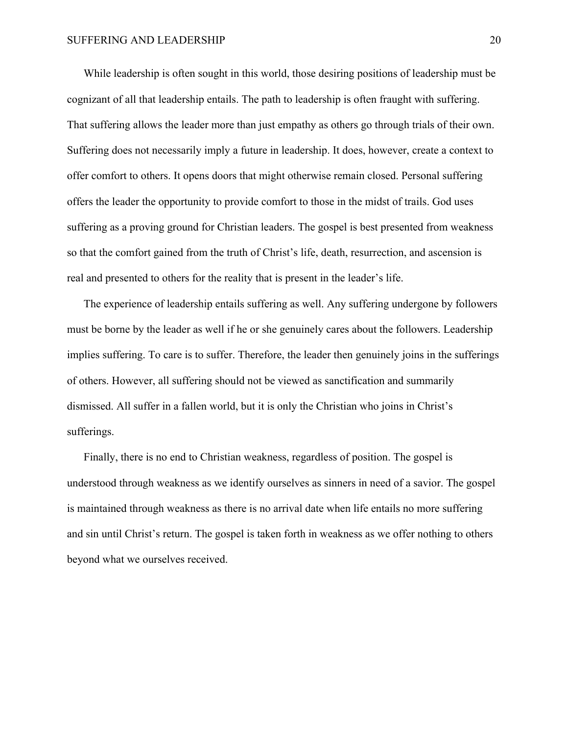While leadership is often sought in this world, those desiring positions of leadership must be cognizant of all that leadership entails. The path to leadership is often fraught with suffering. That suffering allows the leader more than just empathy as others go through trials of their own. Suffering does not necessarily imply a future in leadership. It does, however, create a context to offer comfort to others. It opens doors that might otherwise remain closed. Personal suffering offers the leader the opportunity to provide comfort to those in the midst of trails. God uses suffering as a proving ground for Christian leaders. The gospel is best presented from weakness so that the comfort gained from the truth of Christ's life, death, resurrection, and ascension is real and presented to others for the reality that is present in the leader's life.

The experience of leadership entails suffering as well. Any suffering undergone by followers must be borne by the leader as well if he or she genuinely cares about the followers. Leadership implies suffering. To care is to suffer. Therefore, the leader then genuinely joins in the sufferings of others. However, all suffering should not be viewed as sanctification and summarily dismissed. All suffer in a fallen world, but it is only the Christian who joins in Christ's sufferings.

Finally, there is no end to Christian weakness, regardless of position. The gospel is understood through weakness as we identify ourselves as sinners in need of a savior. The gospel is maintained through weakness as there is no arrival date when life entails no more suffering and sin until Christ's return. The gospel is taken forth in weakness as we offer nothing to others beyond what we ourselves received.